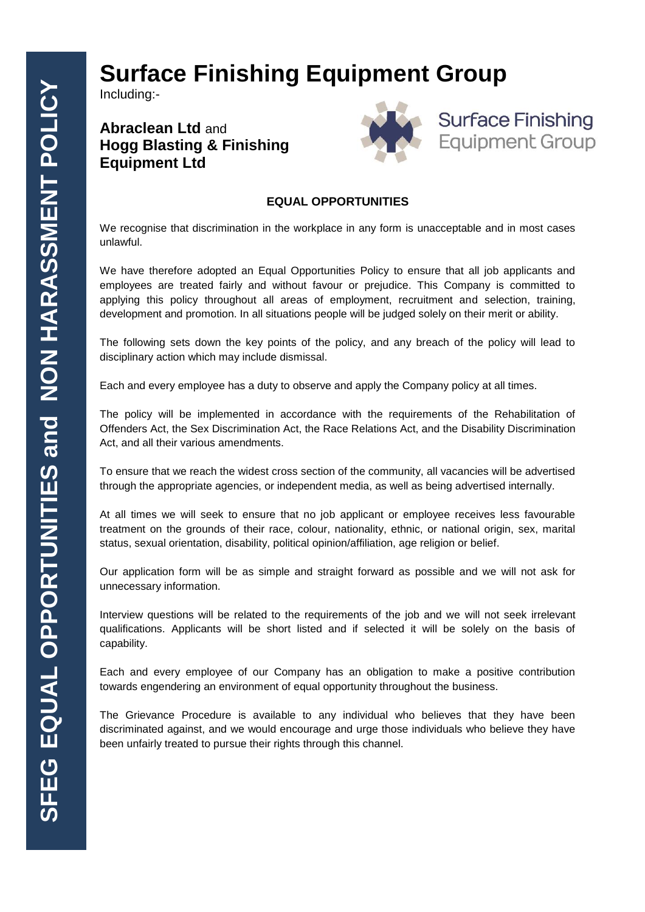## **Surface Finishing Equipment Group**

Including:-

## **Abraclean Ltd** and **Hogg Blasting & Finishing Equipment Ltd**





## **EQUAL OPPORTUNITIES**

We recognise that discrimination in the workplace in any form is unacceptable and in most cases unlawful.

We have therefore adopted an Equal Opportunities Policy to ensure that all job applicants and employees are treated fairly and without favour or prejudice. This Company is committed to applying this policy throughout all areas of employment, recruitment and selection, training, development and promotion. In all situations people will be judged solely on their merit or ability.

The following sets down the key points of the policy, and any breach of the policy will lead to disciplinary action which may include dismissal.

Each and every employee has a duty to observe and apply the Company policy at all times.

The policy will be implemented in accordance with the requirements of the Rehabilitation of Offenders Act, the Sex Discrimination Act, the Race Relations Act, and the Disability Discrimination Act, and all their various amendments.

To ensure that we reach the widest cross section of the community, all vacancies will be advertised through the appropriate agencies, or independent media, as well as being advertised internally.

At all times we will seek to ensure that no job applicant or employee receives less favourable treatment on the grounds of their race, colour, nationality, ethnic, or national origin, sex, marital status, sexual orientation, disability, political opinion/affiliation, age religion or belief.

Our application form will be as simple and straight forward as possible and we will not ask for unnecessary information.

Interview questions will be related to the requirements of the job and we will not seek irrelevant qualifications. Applicants will be short listed and if selected it will be solely on the basis of capability.

Each and every employee of our Company has an obligation to make a positive contribution towards engendering an environment of equal opportunity throughout the business.

The Grievance Procedure is available to any individual who believes that they have been discriminated against, and we would encourage and urge those individuals who believe they have been unfairly treated to pursue their rights through this channel.